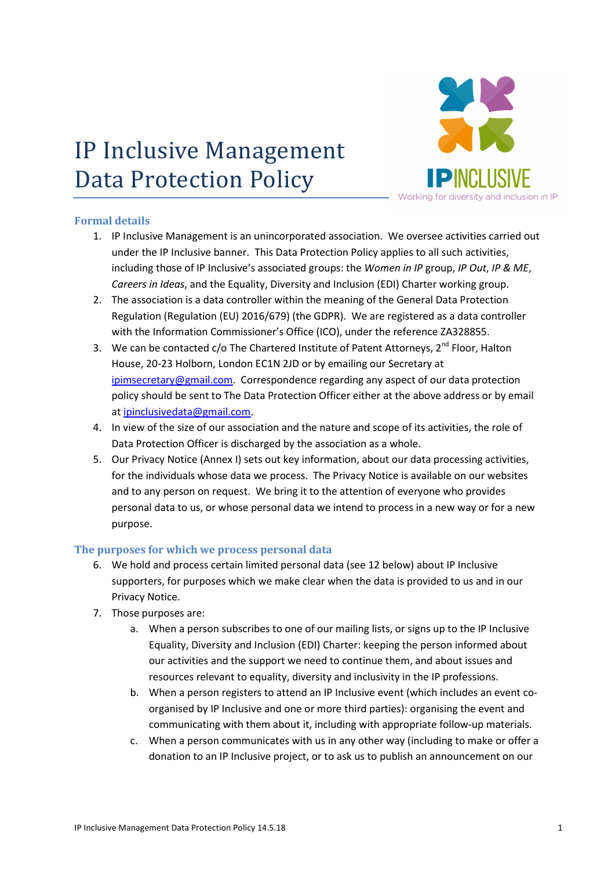# IP Inclusive Management Data Protection Policy



# Formal details

- 1. IP Inclusive Management is an unincorporated association. We oversee activities carried out under the IP Inclusive banner. This Data Protection Policy applies to all such activities, including those of IP Inclusive's associated groups: the Women in IP group, IP Out, IP & ME, Careers in Ideas, and the Equality, Diversity and Inclusion (EDI) Charter working group.
- 2. The association is a data controller within the meaning of the General Data Protection Regulation (Regulation (EU) 2016/679) (the GDPR). We are registered as a data controller with the Information Commissioner's Office (ICO), under the reference ZA328855.
- 3. We can be contacted  $c/o$  The Chartered Institute of Patent Attorneys,  $2^{nd}$  Floor, Halton House, 20-23 Holborn, London EC1N 2JD or by emailing our Secretary at ipimsecretary@gmail.com. Correspondence regarding any aspect of our data protection policy should be sent to The Data Protection Officer either at the above address or by email at ipinclusivedata@gmail.com.
- 4. In view of the size of our association and the nature and scope of its activities, the role of Data Protection Officer is discharged by the association as a whole.
- 5. Our Privacy Notice (Annex I) sets out key information, about our data processing activities, for the individuals whose data we process. The Privacy Notice is available on our websites and to any person on request. We bring it to the attention of everyone who provides personal data to us, or whose personal data we intend to process in a new way or for a new purpose.

# The purposes for which we process personal data

- 6. We hold and process certain limited personal data (see 12 below) about IP Inclusive supporters, for purposes which we make clear when the data is provided to us and in our Privacy Notice.
- 7. Those purposes are:
	- a. When a person subscribes to one of our mailing lists, or signs up to the IP Inclusive Equality, Diversity and Inclusion (EDI) Charter: keeping the person informed about our activities and the support we need to continue them, and about issues and resources relevant to equality, diversity and inclusivity in the IP professions.
	- b. When a person registers to attend an IP Inclusive event (which includes an event coorganised by IP Inclusive and one or more third parties): organising the event and communicating with them about it, including with appropriate follow-up materials.
	- c. When a person communicates with us in any other way (including to make or offer a donation to an IP Inclusive project, or to ask us to publish an announcement on our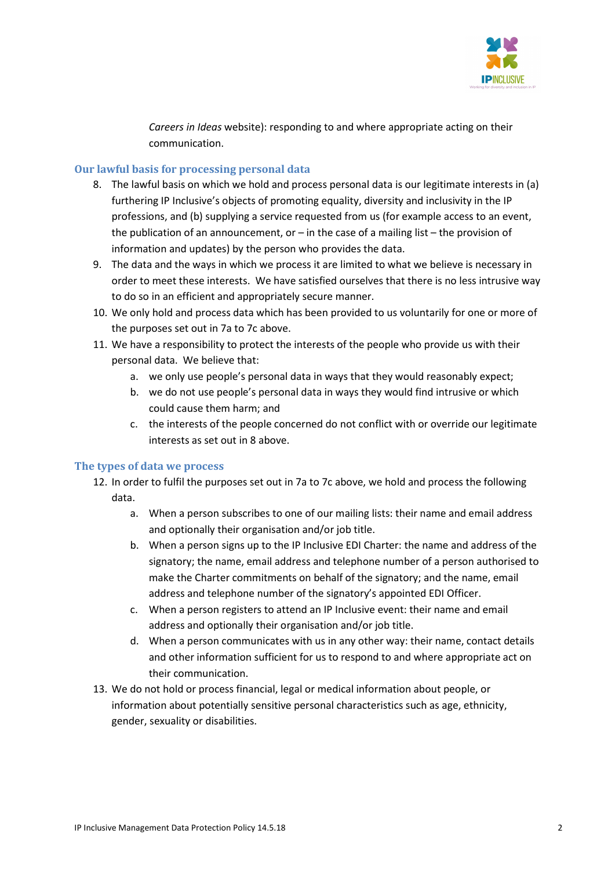

Careers in Ideas website): responding to and where appropriate acting on their communication.

#### Our lawful basis for processing personal data

- 8. The lawful basis on which we hold and process personal data is our legitimate interests in (a) furthering IP Inclusive's objects of promoting equality, diversity and inclusivity in the IP professions, and (b) supplying a service requested from us (for example access to an event, the publication of an announcement, or  $-$  in the case of a mailing list  $-$  the provision of information and updates) by the person who provides the data.
- 9. The data and the ways in which we process it are limited to what we believe is necessary in order to meet these interests. We have satisfied ourselves that there is no less intrusive way to do so in an efficient and appropriately secure manner.
- 10. We only hold and process data which has been provided to us voluntarily for one or more of the purposes set out in 7a to 7c above.
- 11. We have a responsibility to protect the interests of the people who provide us with their personal data. We believe that:
	- a. we only use people's personal data in ways that they would reasonably expect;
	- b. we do not use people's personal data in ways they would find intrusive or which could cause them harm; and
	- c. the interests of the people concerned do not conflict with or override our legitimate interests as set out in 8 above.

#### The types of data we process

- 12. In order to fulfil the purposes set out in 7a to 7c above, we hold and process the following data.
	- a. When a person subscribes to one of our mailing lists: their name and email address and optionally their organisation and/or job title.
	- b. When a person signs up to the IP Inclusive EDI Charter: the name and address of the signatory; the name, email address and telephone number of a person authorised to make the Charter commitments on behalf of the signatory; and the name, email address and telephone number of the signatory's appointed EDI Officer.
	- c. When a person registers to attend an IP Inclusive event: their name and email address and optionally their organisation and/or job title.
	- d. When a person communicates with us in any other way: their name, contact details and other information sufficient for us to respond to and where appropriate act on their communication.
- 13. We do not hold or process financial, legal or medical information about people, or information about potentially sensitive personal characteristics such as age, ethnicity, gender, sexuality or disabilities.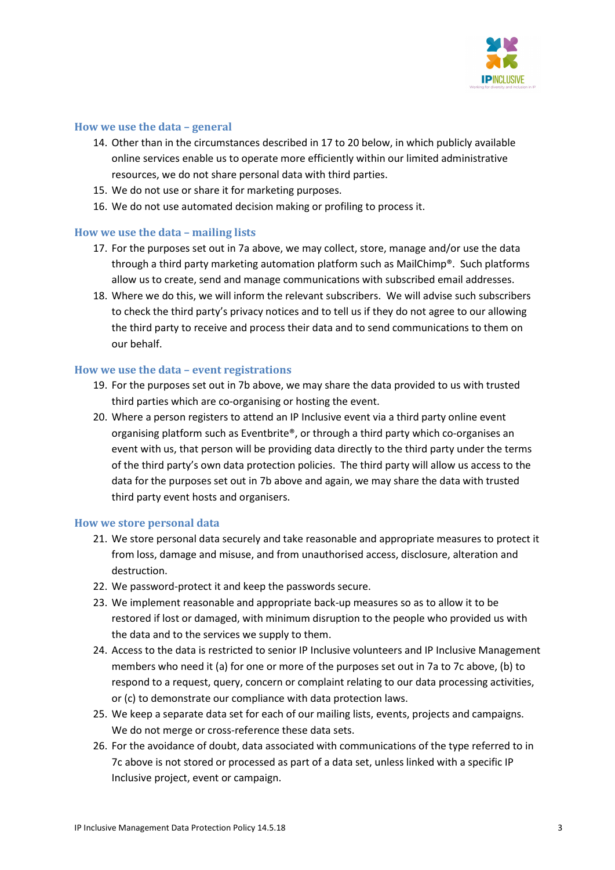

#### How we use the data – general

- 14. Other than in the circumstances described in 17 to 20 below, in which publicly available online services enable us to operate more efficiently within our limited administrative resources, we do not share personal data with third parties.
- 15. We do not use or share it for marketing purposes.
- 16. We do not use automated decision making or profiling to process it.

#### How we use the data – mailing lists

- 17. For the purposes set out in 7a above, we may collect, store, manage and/or use the data through a third party marketing automation platform such as MailChimp®. Such platforms allow us to create, send and manage communications with subscribed email addresses.
- 18. Where we do this, we will inform the relevant subscribers. We will advise such subscribers to check the third party's privacy notices and to tell us if they do not agree to our allowing the third party to receive and process their data and to send communications to them on our behalf.

#### How we use the data – event registrations

- 19. For the purposes set out in 7b above, we may share the data provided to us with trusted third parties which are co-organising or hosting the event.
- 20. Where a person registers to attend an IP Inclusive event via a third party online event organising platform such as Eventbrite®, or through a third party which co-organises an event with us, that person will be providing data directly to the third party under the terms of the third party's own data protection policies. The third party will allow us access to the data for the purposes set out in 7b above and again, we may share the data with trusted third party event hosts and organisers.

#### How we store personal data

- 21. We store personal data securely and take reasonable and appropriate measures to protect it from loss, damage and misuse, and from unauthorised access, disclosure, alteration and destruction.
- 22. We password-protect it and keep the passwords secure.
- 23. We implement reasonable and appropriate back-up measures so as to allow it to be restored if lost or damaged, with minimum disruption to the people who provided us with the data and to the services we supply to them.
- 24. Access to the data is restricted to senior IP Inclusive volunteers and IP Inclusive Management members who need it (a) for one or more of the purposes set out in 7a to 7c above, (b) to respond to a request, query, concern or complaint relating to our data processing activities, or (c) to demonstrate our compliance with data protection laws.
- 25. We keep a separate data set for each of our mailing lists, events, projects and campaigns. We do not merge or cross-reference these data sets.
- 26. For the avoidance of doubt, data associated with communications of the type referred to in 7c above is not stored or processed as part of a data set, unless linked with a specific IP Inclusive project, event or campaign.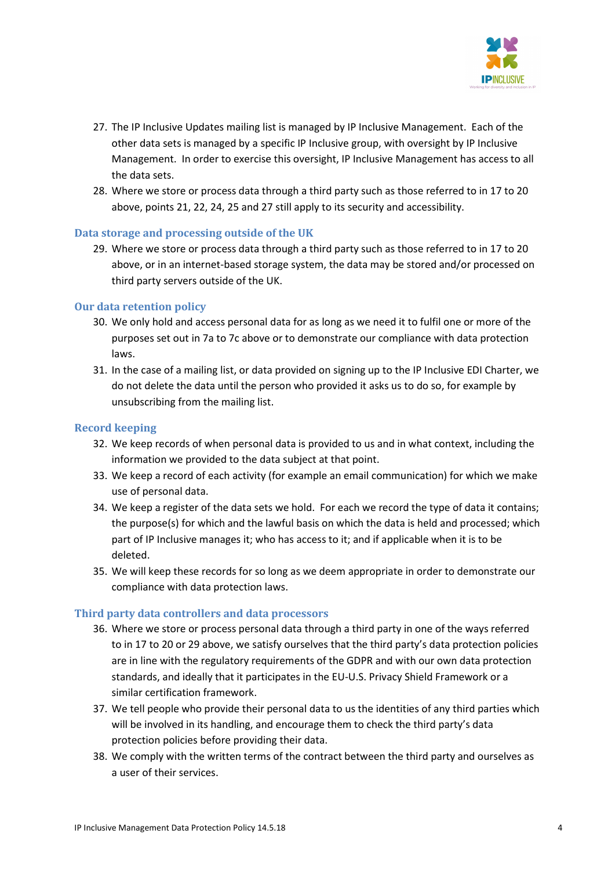

- 27. The IP Inclusive Updates mailing list is managed by IP Inclusive Management. Each of the other data sets is managed by a specific IP Inclusive group, with oversight by IP Inclusive Management. In order to exercise this oversight, IP Inclusive Management has access to all the data sets.
- 28. Where we store or process data through a third party such as those referred to in 17 to 20 above, points 21, 22, 24, 25 and 27 still apply to its security and accessibility.

#### Data storage and processing outside of the UK

29. Where we store or process data through a third party such as those referred to in 17 to 20 above, or in an internet-based storage system, the data may be stored and/or processed on third party servers outside of the UK.

#### Our data retention policy

- 30. We only hold and access personal data for as long as we need it to fulfil one or more of the purposes set out in 7a to 7c above or to demonstrate our compliance with data protection laws.
- 31. In the case of a mailing list, or data provided on signing up to the IP Inclusive EDI Charter, we do not delete the data until the person who provided it asks us to do so, for example by unsubscribing from the mailing list.

#### Record keeping

- 32. We keep records of when personal data is provided to us and in what context, including the information we provided to the data subject at that point.
- 33. We keep a record of each activity (for example an email communication) for which we make use of personal data.
- 34. We keep a register of the data sets we hold. For each we record the type of data it contains; the purpose(s) for which and the lawful basis on which the data is held and processed; which part of IP Inclusive manages it; who has access to it; and if applicable when it is to be deleted.
- 35. We will keep these records for so long as we deem appropriate in order to demonstrate our compliance with data protection laws.

#### Third party data controllers and data processors

- 36. Where we store or process personal data through a third party in one of the ways referred to in 17 to 20 or 29 above, we satisfy ourselves that the third party's data protection policies are in line with the regulatory requirements of the GDPR and with our own data protection standards, and ideally that it participates in the EU-U.S. Privacy Shield Framework or a similar certification framework.
- 37. We tell people who provide their personal data to us the identities of any third parties which will be involved in its handling, and encourage them to check the third party's data protection policies before providing their data.
- 38. We comply with the written terms of the contract between the third party and ourselves as a user of their services.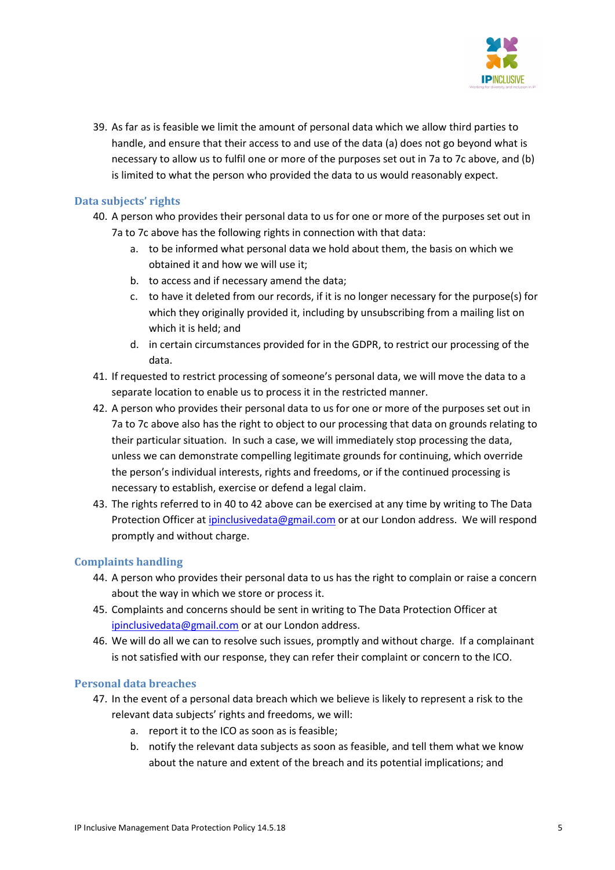

39. As far as is feasible we limit the amount of personal data which we allow third parties to handle, and ensure that their access to and use of the data (a) does not go beyond what is necessary to allow us to fulfil one or more of the purposes set out in 7a to 7c above, and (b) is limited to what the person who provided the data to us would reasonably expect.

# Data subjects' rights

- 40. A person who provides their personal data to us for one or more of the purposes set out in 7a to 7c above has the following rights in connection with that data:
	- a. to be informed what personal data we hold about them, the basis on which we obtained it and how we will use it;
	- b. to access and if necessary amend the data;
	- c. to have it deleted from our records, if it is no longer necessary for the purpose(s) for which they originally provided it, including by unsubscribing from a mailing list on which it is held; and
	- d. in certain circumstances provided for in the GDPR, to restrict our processing of the data.
- 41. If requested to restrict processing of someone's personal data, we will move the data to a separate location to enable us to process it in the restricted manner.
- 42. A person who provides their personal data to us for one or more of the purposes set out in 7a to 7c above also has the right to object to our processing that data on grounds relating to their particular situation. In such a case, we will immediately stop processing the data, unless we can demonstrate compelling legitimate grounds for continuing, which override the person's individual interests, rights and freedoms, or if the continued processing is necessary to establish, exercise or defend a legal claim.
- 43. The rights referred to in 40 to 42 above can be exercised at any time by writing to The Data Protection Officer at ipinclusivedata@gmail.com or at our London address. We will respond promptly and without charge.

# Complaints handling

- 44. A person who provides their personal data to us has the right to complain or raise a concern about the way in which we store or process it.
- 45. Complaints and concerns should be sent in writing to The Data Protection Officer at ipinclusivedata@gmail.com or at our London address.
- 46. We will do all we can to resolve such issues, promptly and without charge. If a complainant is not satisfied with our response, they can refer their complaint or concern to the ICO.

# Personal data breaches

- 47. In the event of a personal data breach which we believe is likely to represent a risk to the relevant data subjects' rights and freedoms, we will:
	- a. report it to the ICO as soon as is feasible;
	- b. notify the relevant data subjects as soon as feasible, and tell them what we know about the nature and extent of the breach and its potential implications; and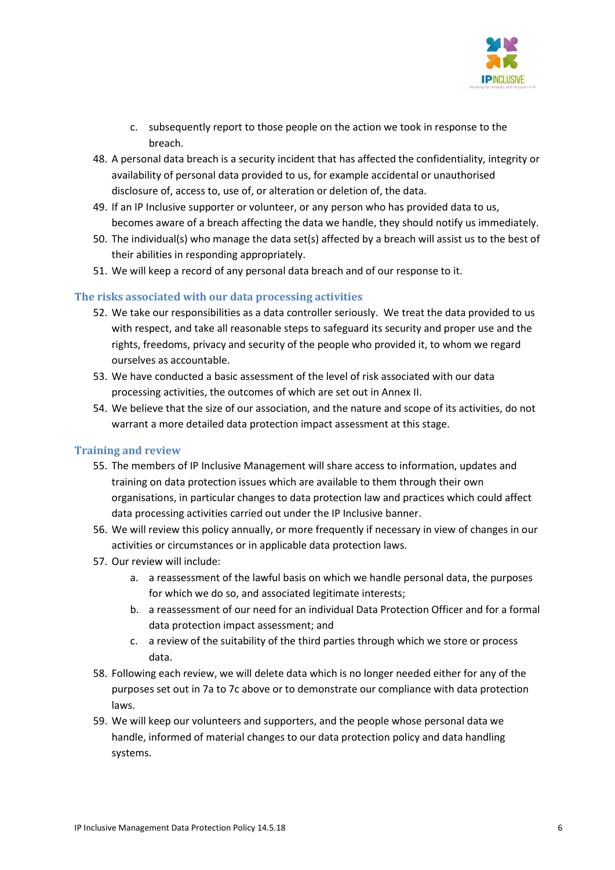

- c. subsequently report to those people on the action we took in response to the breach.
- 48. A personal data breach is a security incident that has affected the confidentiality, integrity or availability of personal data provided to us, for example accidental or unauthorised disclosure of, access to, use of, or alteration or deletion of, the data.
- 49. If an IP Inclusive supporter or volunteer, or any person who has provided data to us, becomes aware of a breach affecting the data we handle, they should notify us immediately.
- 50. The individual(s) who manage the data set(s) affected by a breach will assist us to the best of their abilities in responding appropriately.
- 51. We will keep a record of any personal data breach and of our response to it.

# The risks associated with our data processing activities

- 52. We take our responsibilities as a data controller seriously. We treat the data provided to us with respect, and take all reasonable steps to safeguard its security and proper use and the rights, freedoms, privacy and security of the people who provided it, to whom we regard ourselves as accountable.
- 53. We have conducted a basic assessment of the level of risk associated with our data processing activities, the outcomes of which are set out in Annex II.
- 54. We believe that the size of our association, and the nature and scope of its activities, do not warrant a more detailed data protection impact assessment at this stage.

# Training and review

- 55. The members of IP Inclusive Management will share access to information, updates and training on data protection issues which are available to them through their own organisations, in particular changes to data protection law and practices which could affect data processing activities carried out under the IP Inclusive banner.
- 56. We will review this policy annually, or more frequently if necessary in view of changes in our activities or circumstances or in applicable data protection laws.
- 57. Our review will include:
	- a. a reassessment of the lawful basis on which we handle personal data, the purposes for which we do so, and associated legitimate interests;
	- b. a reassessment of our need for an individual Data Protection Officer and for a formal data protection impact assessment; and
	- c. a review of the suitability of the third parties through which we store or process data.
- 58. Following each review, we will delete data which is no longer needed either for any of the purposes set out in 7a to 7c above or to demonstrate our compliance with data protection laws.
- 59. We will keep our volunteers and supporters, and the people whose personal data we handle, informed of material changes to our data protection policy and data handling systems.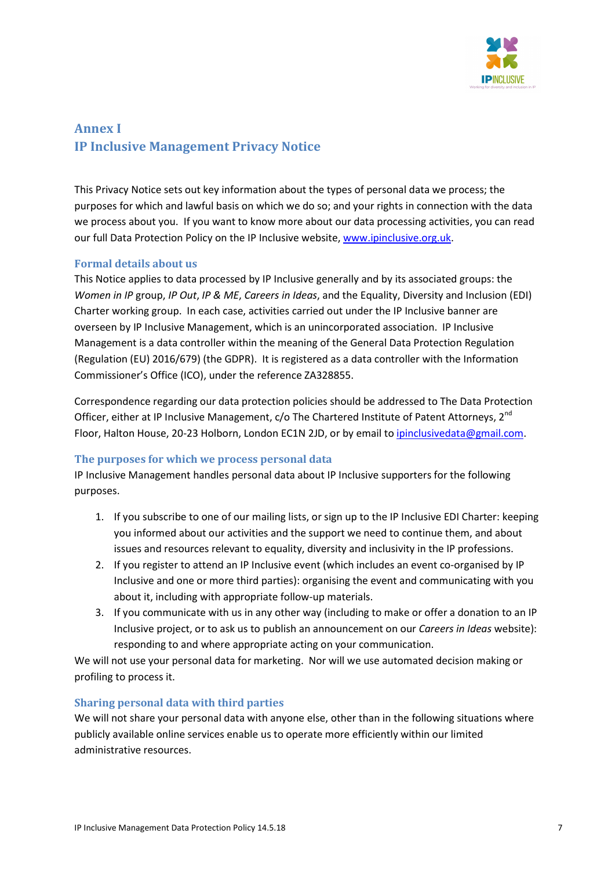

# Annex I IP Inclusive Management Privacy Notice

This Privacy Notice sets out key information about the types of personal data we process; the purposes for which and lawful basis on which we do so; and your rights in connection with the data we process about you. If you want to know more about our data processing activities, you can read our full Data Protection Policy on the IP Inclusive website, www.ipinclusive.org.uk.

# Formal details about us

This Notice applies to data processed by IP Inclusive generally and by its associated groups: the Women in IP group, IP Out, IP & ME, Careers in Ideas, and the Equality, Diversity and Inclusion (EDI) Charter working group. In each case, activities carried out under the IP Inclusive banner are overseen by IP Inclusive Management, which is an unincorporated association. IP Inclusive Management is a data controller within the meaning of the General Data Protection Regulation (Regulation (EU) 2016/679) (the GDPR). It is registered as a data controller with the Information Commissioner's Office (ICO), under the reference ZA328855.

Correspondence regarding our data protection policies should be addressed to The Data Protection Officer, either at IP Inclusive Management, c/o The Chartered Institute of Patent Attorneys, 2<sup>nd</sup> Floor, Halton House, 20-23 Holborn, London EC1N 2JD, or by email to ipinclusivedata@gmail.com.

#### The purposes for which we process personal data

IP Inclusive Management handles personal data about IP Inclusive supporters for the following purposes.

- 1. If you subscribe to one of our mailing lists, or sign up to the IP Inclusive EDI Charter: keeping you informed about our activities and the support we need to continue them, and about issues and resources relevant to equality, diversity and inclusivity in the IP professions.
- 2. If you register to attend an IP Inclusive event (which includes an event co-organised by IP Inclusive and one or more third parties): organising the event and communicating with you about it, including with appropriate follow-up materials.
- 3. If you communicate with us in any other way (including to make or offer a donation to an IP Inclusive project, or to ask us to publish an announcement on our Careers in Ideas website): responding to and where appropriate acting on your communication.

We will not use your personal data for marketing. Nor will we use automated decision making or profiling to process it.

# Sharing personal data with third parties

We will not share your personal data with anyone else, other than in the following situations where publicly available online services enable us to operate more efficiently within our limited administrative resources.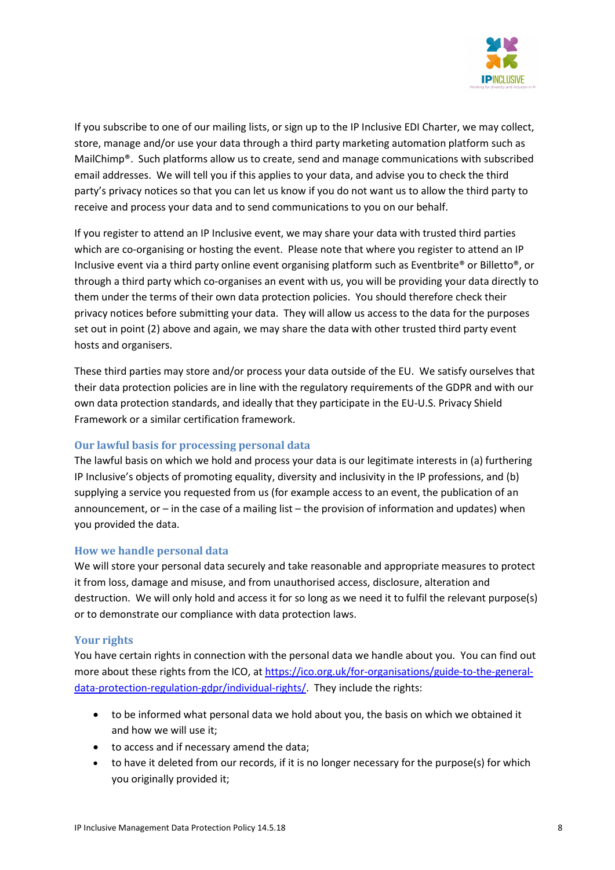

If you subscribe to one of our mailing lists, or sign up to the IP Inclusive EDI Charter, we may collect, store, manage and/or use your data through a third party marketing automation platform such as MailChimp®. Such platforms allow us to create, send and manage communications with subscribed email addresses. We will tell you if this applies to your data, and advise you to check the third party's privacy notices so that you can let us know if you do not want us to allow the third party to receive and process your data and to send communications to you on our behalf.

If you register to attend an IP Inclusive event, we may share your data with trusted third parties which are co-organising or hosting the event. Please note that where you register to attend an IP Inclusive event via a third party online event organising platform such as Eventbrite® or Billetto®, or through a third party which co-organises an event with us, you will be providing your data directly to them under the terms of their own data protection policies. You should therefore check their privacy notices before submitting your data. They will allow us access to the data for the purposes set out in point (2) above and again, we may share the data with other trusted third party event hosts and organisers.

These third parties may store and/or process your data outside of the EU. We satisfy ourselves that their data protection policies are in line with the regulatory requirements of the GDPR and with our own data protection standards, and ideally that they participate in the EU-U.S. Privacy Shield Framework or a similar certification framework.

# Our lawful basis for processing personal data

The lawful basis on which we hold and process your data is our legitimate interests in (a) furthering IP Inclusive's objects of promoting equality, diversity and inclusivity in the IP professions, and (b) supplying a service you requested from us (for example access to an event, the publication of an announcement, or – in the case of a mailing list – the provision of information and updates) when you provided the data.

# How we handle personal data

We will store your personal data securely and take reasonable and appropriate measures to protect it from loss, damage and misuse, and from unauthorised access, disclosure, alteration and destruction. We will only hold and access it for so long as we need it to fulfil the relevant purpose(s) or to demonstrate our compliance with data protection laws.

# Your rights

You have certain rights in connection with the personal data we handle about you. You can find out more about these rights from the ICO, at https://ico.org.uk/for-organisations/guide-to-the-generaldata-protection-regulation-gdpr/individual-rights/. They include the rights:

- to be informed what personal data we hold about you, the basis on which we obtained it and how we will use it;
- to access and if necessary amend the data;
- to have it deleted from our records, if it is no longer necessary for the purpose(s) for which you originally provided it;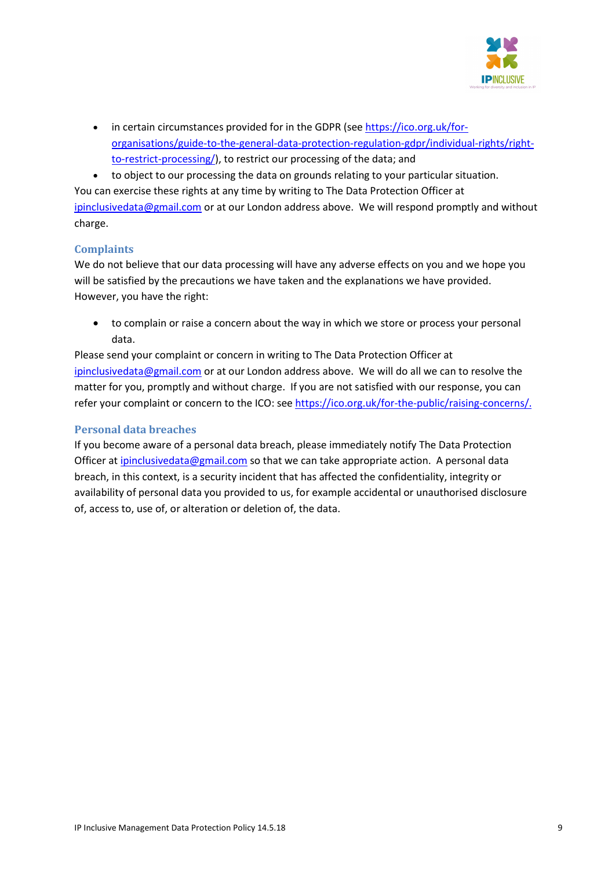

- in certain circumstances provided for in the GDPR (see https://ico.org.uk/fororganisations/guide-to-the-general-data-protection-regulation-gdpr/individual-rights/rightto-restrict-processing/), to restrict our processing of the data; and
- to object to our processing the data on grounds relating to your particular situation.

You can exercise these rights at any time by writing to The Data Protection Officer at ipinclusivedata@gmail.com or at our London address above. We will respond promptly and without charge.

# **Complaints**

We do not believe that our data processing will have any adverse effects on you and we hope you will be satisfied by the precautions we have taken and the explanations we have provided. However, you have the right:

 to complain or raise a concern about the way in which we store or process your personal data.

Please send your complaint or concern in writing to The Data Protection Officer at ipinclusivedata@gmail.com or at our London address above. We will do all we can to resolve the matter for you, promptly and without charge. If you are not satisfied with our response, you can refer your complaint or concern to the ICO: see https://ico.org.uk/for-the-public/raising-concerns/.

# Personal data breaches

If you become aware of a personal data breach, please immediately notify The Data Protection Officer at ipinclusivedata@gmail.com so that we can take appropriate action. A personal data breach, in this context, is a security incident that has affected the confidentiality, integrity or availability of personal data you provided to us, for example accidental or unauthorised disclosure of, access to, use of, or alteration or deletion of, the data.